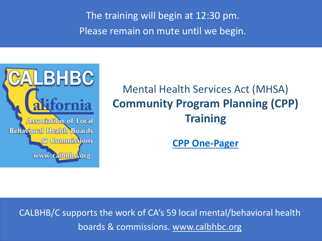The training will begin at 12:30 pm. Please remain on mute until we begin.



# Mental Health Services Act (MHSA) **Community Program Planning (CPP) Training**

**[CPP One-Pager](https://www.calbhbc.org/uploads/5/8/5/3/58536227/community_program_planning_cpp.pdf)**

[CALBHB/C supports the work of CA's 59 local mental/behavioral health](http://www.calbhbc.org/)  boards & commissions. www.calbhbc.org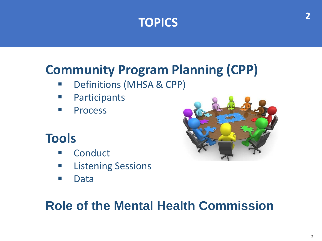

## **Community Program Planning (CPP)**

- **Definitions (MHSA & CPP)**
- **Participants**
- **Process**

### **Tools**

- **E** Conduct
- **E** Listening Sessions
- Data



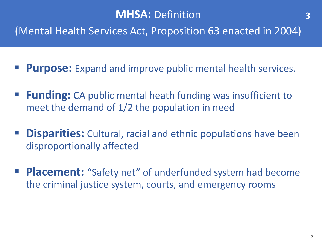(Mental Health Services Act, Proposition 63 enacted in 2004)

- **Purpose:** Expand and improve public mental health services.
- **Funding:** CA public mental heath funding was insufficient to meet the demand of 1/2 the population in need
- **Disparities:** Cultural, racial and ethnic populations have been disproportionally affected
- **Placement:** "Safety net" of underfunded system had become the criminal justice system, courts, and emergency rooms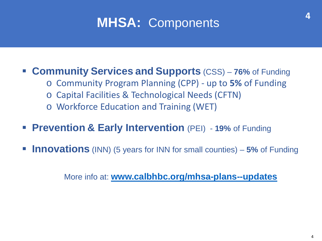# **MHSA:** Components

#### **Community Services and Supports** (CSS) – **76%** of Funding

- o Community Program Planning (CPP) up to **5%** of Funding
- o Capital Facilities & Technological Needs (CFTN)
- o Workforce Education and Training (WET)
- **Prevention & Early Intervention** (PEI) **19%** of Funding
- **Innovations** (INN) (5 years for INN for small counties) 5% of Funding

More info at: **[www.calbhbc.org/mhsa-plans--updates](http://www.calbhbc.org/mhsa-plans--updates)**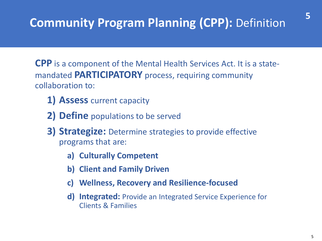## **Community Program Planning (CPP):** Definition

**CPP** is a component of the Mental Health Services Act. It is a statemandated **PARTICIPATORY** process, requiring community collaboration to:

- **1) Assess** current capacity
- **2) Define** populations to be served
- **3) Strategize:** Determine strategies to provide effective programs that are:
	- **a) Culturally Competent**
	- **b) Client and Family Driven**
	- **c) Wellness, Recovery and Resilience-focused**
	- **d) Integrated:** Provide an Integrated Service Experience for Clients & Families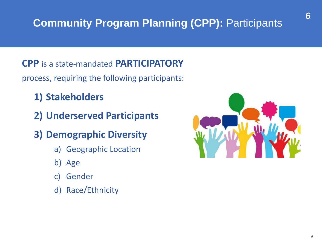### **Community Program Planning (CPP): Participants**

**CPP** is a state-mandated **PARTICIPATORY** process, requiring the following participants:

- **1) Stakeholders**
- **2) Underserved Participants**
- **3) Demographic Diversity**
	- a) Geographic Location
	- b) Age
	- c) Gender
	- d) Race/Ethnicity

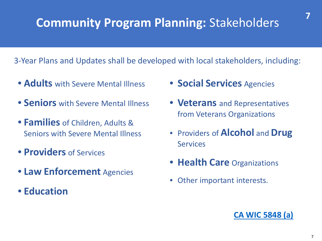## **Community Program Planning:** Stakeholders

3-Year Plans and Updates shall be developed with local stakeholders, including:

- **Adults** with Severe Mental Illness
- **Seniors** with Severe Mental Illness
- **Families** of Children, Adults & Seniors with Severe Mental Illness
- **Providers** of Services
- **Law Enforcement** Agencies
- **Education**
- **Social Services** Agencies
- **Veterans** and Representatives from Veterans Organizations
- Providers of **Alcohol** and **Drug Services**
- **Health Care** Organizations
- Other important interests.

#### **[CA WIC 5848 \(a\)](https://leginfo.legislature.ca.gov/faces/codes_displaySection.xhtml?lawCode=WIC§ionNum=5848.)**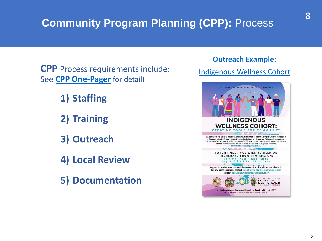### **Community Program Planning (CPP):** Process

**CPP** Process requirements include: [Indigenous Wellness Cohort](http://file.lacounty.gov/SDSInter/dmh/1108081_IndigenousWellnessCohort.pdf) See **[CPP One-Pager](https://www.calbhbc.org/uploads/5/8/5/3/58536227/community_program_planning_cpp.pdf)** for detail)

**1) Staffing** 

**2) Training**

**3) Outreach**

**4) Local Review**

**5) Documentation**

#### **[Outreach Example](http://file.lacounty.gov/SDSInter/dmh/1108081_IndigenousWellnessCohort.pdf)**[:](http://file.lacounty.gov/SDSInter/dmh/1108081_IndigenousWellnessCohort.pdf)

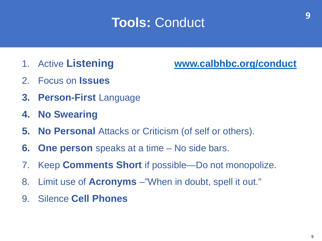## **Tools:** Conduct

- 
- 2. Focus on **Issues**
- **3. Person-First** Language
- **4. No Swearing**
- **5. No Personal** Attacks or Criticism (of self or others).
- **6. One person** speaks at a time No side bars.
- 7. Keep **Comments Short** if possible—Do not monopolize.
- 8. Limit use of **Acronyms** –"When in doubt, spell it out."
- 9. Silence **Cell Phones**

**9**

#### 1. Active **Listening [www.calbhbc.org/conduct](http://www.calbhbc.org/conduct)**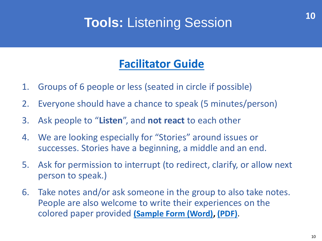## **Tools:** Listening Session

#### **[Facilitator Guide](https://www.calbhbc.org/listening-session.html)**

- 1. Groups of 6 people or less (seated in circle if possible)
- 2. Everyone should have a chance to speak (5 minutes/person)
- 3. Ask people to "**Listen**", and **not react** to each other
- 4. We are looking especially for "Stories" around issues or successes. Stories have a beginning, a middle and an end.
- 5. Ask for permission to interrupt (to redirect, clarify, or allow next person to speak.)
- 6. Take notes and/or ask someone in the group to also take notes. People are also welcome to write their experiences on the colored paper provided **[\(Sample Form](https://www.calbhbc.org/uploads/5/8/5/3/58536227/listening_session_-_sample_form.docx) (Word), [\(PDF\)](https://www.calbhbc.org/uploads/5/8/5/3/58536227/listening_session_-_sample_form.pdf)**.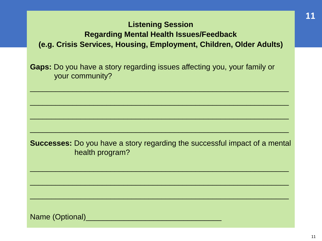#### **Listening Session Regarding Mental Health Issues/Feedback (e.g. Crisis Services, Housing, Employment, Children, Older Adults)**

**Gaps:** Do you have a story regarding issues affecting you, your family or your community?

 $\overline{\phantom{a}}$  , and the contract of the contract of the contract of the contract of the contract of the contract of the contract of the contract of the contract of the contract of the contract of the contract of the contrac

 $\overline{\phantom{a}}$  , and the contribution of the contribution of the contribution of the contribution of the contribution of the contribution of the contribution of the contribution of the contribution of the contribution of the

**Successes:** Do you have a story regarding the successful impact of a mental health program?

 $\overline{\phantom{a}}$  , and the contribution of the contribution of the contribution of the contribution of the contribution of the contribution of the contribution of the contribution of the contribution of the contribution of the

 $\overline{\phantom{a}}$  , and the contract of the contract of the contract of the contract of the contract of the contract of the contract of the contract of the contract of the contract of the contract of the contract of the contrac

 $\overline{\phantom{a}}$  , and the contract of the contract of the contract of the contract of the contract of the contract of the contract of the contract of the contract of the contract of the contract of the contract of the contrac

 $\overline{\phantom{a}}$  , and the contract of the contract of the contract of the contract of the contract of the contract of the contract of the contract of the contract of the contract of the contract of the contract of the contrac

Name (Optional)\_\_\_\_\_\_\_\_\_\_\_\_\_\_\_\_\_\_\_\_\_\_\_\_\_\_\_\_\_\_\_\_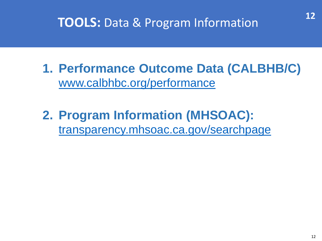### **TOOLS:** Data & Program Information

- **1. Performance Outcome Data (CALBHB/C)**  [www.calbhbc.org/performance](http://www.calbhbc.org/performance)
- **2. Program Information (MHSOAC):**  [transparency.mhsoac.ca.gov/searchpage](http://transparency.mhsoac.ca.gov/searchpage)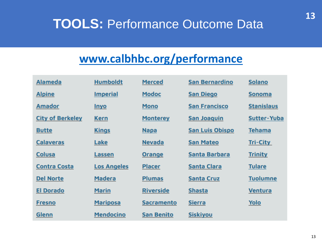## **TOOLS: Performance Outcome Data**

#### **[www.calbhbc.org/performance](http://www.calbhbc.org/performance)**

| <b>Alameda</b>          | <b>Humboldt</b>    | <b>Merced</b>     | San Bernardino         | <b>Solano</b>      |
|-------------------------|--------------------|-------------------|------------------------|--------------------|
| <b>Alpine</b>           | <b>Imperial</b>    | <b>Modoc</b>      | <b>San Diego</b>       | <b>Sonoma</b>      |
| <b>Amador</b>           | <u>Inyo</u>        | <b>Mono</b>       | <b>San Francisco</b>   | <b>Stanislaus</b>  |
| <b>City of Berkeley</b> | <b>Kern</b>        | <b>Monterey</b>   | San Joaquin            | <b>Sutter-Yuba</b> |
| <b>Butte</b>            | <b>Kings</b>       | <b>Napa</b>       | <b>San Luis Obispo</b> | <b>Tehama</b>      |
| <b>Calaveras</b>        | Lake               | <b>Nevada</b>     | San Mateo              | <b>Tri-City</b>    |
| Colusa                  | Lassen             | <b>Orange</b>     | Santa Barbara          | <b>Trinity</b>     |
| <b>Contra Costa</b>     | <b>Los Angeles</b> | <b>Placer</b>     | <b>Santa Clara</b>     | <b>Tulare</b>      |
| <b>Del Norte</b>        | <b>Madera</b>      | <b>Plumas</b>     | <b>Santa Cruz</b>      | <b>Tuolumne</b>    |
| <b>El Dorado</b>        | <b>Marin</b>       | <b>Riverside</b>  | <b>Shasta</b>          | <b>Ventura</b>     |
| <b>Fresno</b>           | <b>Mariposa</b>    | <b>Sacramento</b> | Sierra                 | Yolo               |
| Glenn                   | <b>Mendocino</b>   | <b>San Benito</b> | <b>Siskiyou</b>        |                    |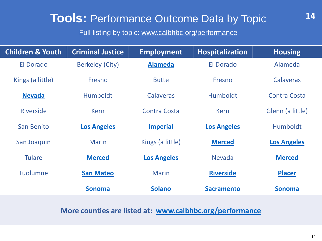### **Tools:** Performance Outcome Data by Topic

Full listing by topic: www.calbhbc.org/performance

| <b>Children &amp; Youth</b> | <b>Criminal Justice</b> | <b>Employment</b>   | <b>Hospitalization</b> | <b>Housing</b>      |
|-----------------------------|-------------------------|---------------------|------------------------|---------------------|
| <b>El Dorado</b>            | <b>Berkeley (City)</b>  | <b>Alameda</b>      | <b>El Dorado</b>       | Alameda             |
| Kings (a little)            | Fresno                  | <b>Butte</b>        | Fresno                 | <b>Calaveras</b>    |
| <b>Nevada</b>               | <b>Humboldt</b>         | <b>Calaveras</b>    | <b>Humboldt</b>        | <b>Contra Costa</b> |
| <b>Riverside</b>            | <b>Kern</b>             | <b>Contra Costa</b> | <b>Kern</b>            | Glenn (a little)    |
| San Benito                  | <b>Los Angeles</b>      | <b>Imperial</b>     | <b>Los Angeles</b>     | <b>Humboldt</b>     |
| San Joaquin                 | <b>Marin</b>            | Kings (a little)    | <b>Merced</b>          | <b>Los Angeles</b>  |
| <b>Tulare</b>               | <b>Merced</b>           | <b>Los Angeles</b>  | <b>Nevada</b>          | <b>Merced</b>       |
| <b>Tuolumne</b>             | <b>San Mateo</b>        | <b>Marin</b>        | <b>Riverside</b>       | <b>Placer</b>       |
|                             | <b>Sonoma</b>           | <b>Solano</b>       | <b>Sacramento</b>      | <b>Sonoma</b>       |

**More counties are listed at: [www.calbhbc.org/performance](http://www.calbhbc.org/performance)**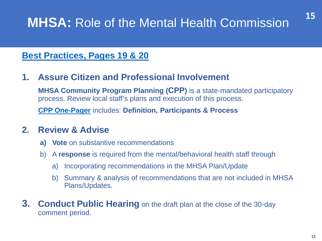## **MHSA:** Role of the Mental Health Commission

#### **Best Practices, Pages 19 & 20**

#### **1. Assure Citizen and Professional Involvement**

**MHSA Community Program Planning (CPP)** is a state-mandated participatory process. Review local staff's plans and execution of this process.

**[CPP One-Pager](https://www.calbhbc.org/uploads/5/8/5/3/58536227/community_program_planning_cpp.pdf)** includes: **Definition, Participants & Process**

#### **2. Review & Advise**

- **a) Vote** on substantive recommendations
- b) A **response** is required from the mental/behavioral health staff through
	- a) Incorporating recommendations in the MHSA Plan/Update
	- b) Summary & analysis of recommendations that are not included in MHSA Plans/Updates.
- **3. Conduct Public Hearing** on the draft plan at the close of the 30-day comment period.